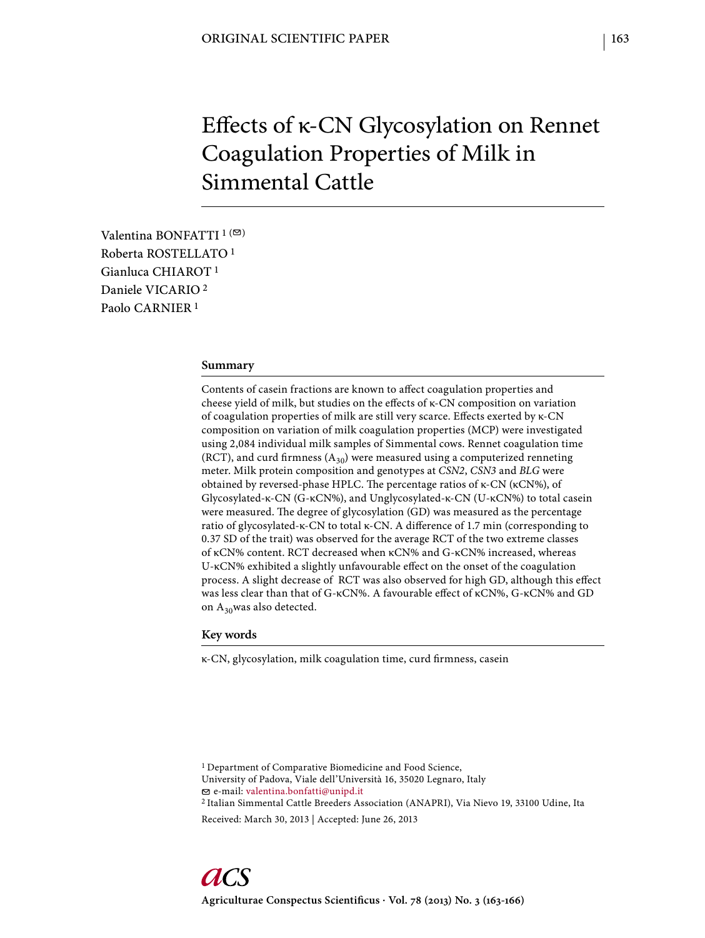# Effects of κ-CN Glycosylation on Rennet Coagulation Properties of Milk in Simmental Cattle

Valentina BONFATTI  $1$  ( $\heartsuit$ ) Roberta ROSTELLATO 1 Gianluca CHIAROT 1 Daniele VICARIO 2 Paolo CARNIER 1

### **Summary**

Contents of casein fractions are known to affect coagulation properties and cheese yield of milk, but studies on the effects of κ-CN composition on variation of coagulation properties of milk are still very scarce. Effects exerted by κ-CN composition on variation of milk coagulation properties (MCP) were investigated using 2,084 individual milk samples of Simmental cows. Rennet coagulation time (RCT), and curd firmness  $(A_{30})$  were measured using a computerized renneting meter. Milk protein composition and genotypes at *CSN2*, *CSN3* and *BLG* were obtained by reversed-phase HPLC. The percentage ratios of κ-CN (κCN%), of Glycosylated-κ-CN (G-κCN%), and Unglycosylated-κ-CN (U-κCN%) to total casein were measured. The degree of glycosylation (GD) was measured as the percentage ratio of glycosylated-κ-CN to total κ-CN. A difference of 1.7 min (corresponding to 0.37 SD of the trait) was observed for the average RCT of the two extreme classes of κCN% content. RCT decreased when κCN% and G-κCN% increased, whereas U-κCN% exhibited a slightly unfavourable effect on the onset of the coagulation process. A slight decrease of RCT was also observed for high GD, although this effect was less clear than that of G-κCN%. A favourable effect of κCN%, G-κCN% and GD on  $\rm A_{30} was$  also detected.

## **Key words**

κ-CN, glycosylation, milk coagulation time, curd firmness, casein

2 Italian Simmental Cattle Breeders Association (ANAPRI), Via Nievo 19, 33100 Udine, Ita

<sup>1</sup> Department of Comparative Biomedicine and Food Science, University of Padova, Viale dell'Università 16, 35020 Legnaro, Italy e-mail: valentina.bonfatti@unipd.it

Received: March 30, 2013 | Accepted: June 26, 2013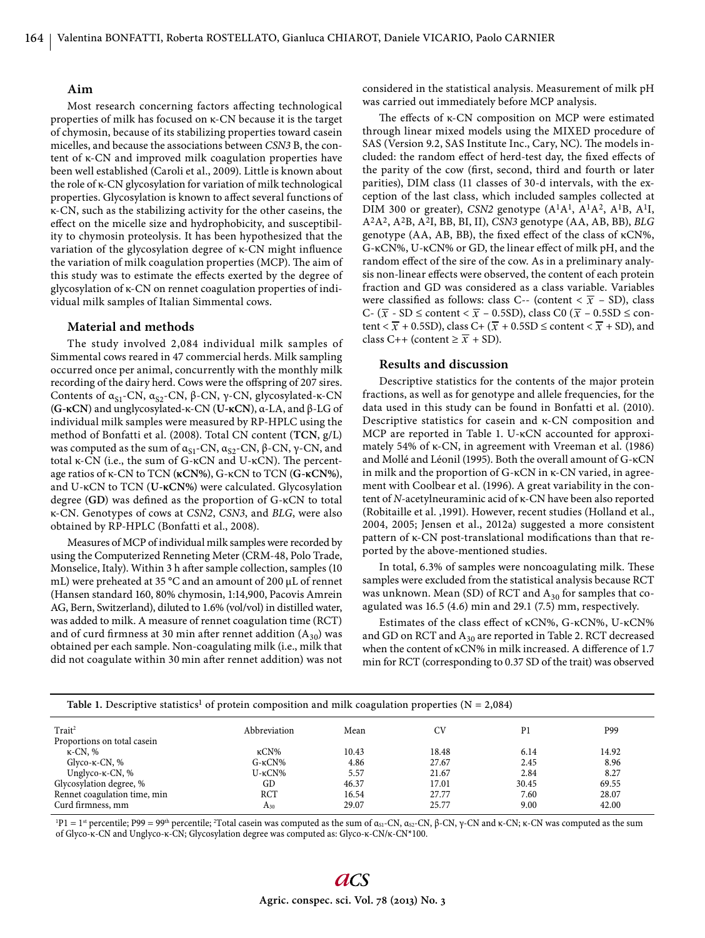## **Aim**

Most research concerning factors affecting technological properties of milk has focused on κ-CN because it is the target of chymosin, because of its stabilizing properties toward casein micelles, and because the associations between *CSN3* B, the content of κ-CN and improved milk coagulation properties have been well established (Caroli et al., 2009). Little is known about the role of κ-CN glycosylation for variation of milk technological properties. Glycosylation is known to affect several functions of κ-CN, such as the stabilizing activity for the other caseins, the effect on the micelle size and hydrophobicity, and susceptibility to chymosin proteolysis. It has been hypothesized that the variation of the glycosylation degree of κ-CN might influence the variation of milk coagulation properties (MCP). The aim of this study was to estimate the effects exerted by the degree of glycosylation of κ-CN on rennet coagulation properties of individual milk samples of Italian Simmental cows.

#### **Material and methods**

The study involved 2,084 individual milk samples of Simmental cows reared in 47 commercial herds. Milk sampling occurred once per animal, concurrently with the monthly milk recording of the dairy herd. Cows were the offspring of 207 sires. Contents of  $\alpha_{S1}$ -CN,  $\alpha_{S2}$ -CN, β-CN, γ-CN, glycosylated-κ-CN (**G-κCN**) and unglycosylated-κ-CN (**U-κCN**), α-LA, and β-LG of individual milk samples were measured by RP-HPLC using the method of Bonfatti et al. (2008). Total CN content (**TCN**, g/L) was computed as the sum of  $α<sub>S1</sub>$ -CN,  $α<sub>S2</sub>$ -CN,  $β$ -CN,  $γ$ -CN, and total κ-CN (i.e., the sum of G-κCN and U-κCN). The percentage ratios of κ-CN to TCN (**κCN%**), G-κCN to TCN (**G-κCN%**), and U-κCN to TCN (**U-κCN%**) were calculated. Glycosylation degree (GD) was defined as the proportion of G-κCN to total κ-CN. Genotypes of cows at *CSN2*, *CSN3*, and *BLG*, were also obtained by RP-HPLC (Bonfatti et al., 2008).

Measures of MCP of individual milk samples were recorded by using the Computerized Renneting Meter (CRM-48, Polo Trade, Monselice, Italy). Within 3 h after sample collection, samples (10 mL) were preheated at 35 °C and an amount of 200 μL of rennet (Hansen standard 160, 80% chymosin, 1:14,900, Pacovis Amrein AG, Bern, Switzerland), diluted to 1.6% (vol/vol) in distilled water, was added to milk. A measure of rennet coagulation time (RCT) and of curd firmness at 30 min after rennet addition  $(A_{30})$  was obtained per each sample. Non-coagulating milk (i.e., milk that did not coagulate within 30 min after rennet addition) was not considered in the statistical analysis. Measurement of milk pH was carried out immediately before MCP analysis.

The effects of κ-CN composition on MCP were estimated through linear mixed models using the MIXED procedure of SAS (Version 9.2, SAS Institute Inc., Cary, NC). The models included: the random effect of herd-test day, the fixed effects of the parity of the cow (first, second, third and fourth or later parities), DIM class (11 classes of 30-d intervals, with the exception of the last class, which included samples collected at DIM 300 or greater), *CSN2* genotype (A1A1, A1A2, A1B, A1I, A2A2, A2B, A2I, BB, BI, II), *CSN3* genotype (AA, AB, BB), *BLG* genotype (AA, AB, BB), the fixed effect of the class of κCN%, G-κCN%, U-κCN% or GD, the linear effect of milk pH, and the random effect of the sire of the cow. As in a preliminary analysis non-linear effects were observed, the content of each protein fraction and GD was considered as a class variable. Variables were classified as follows: class C-- (content  $\langle \overline{x} - SD \rangle$ , class C- ( $\bar{x}$  - SD  $\leq$  content  $\lt \bar{x}$  – 0.5SD), class C0 ( $\bar{x}$  – 0.5SD  $\leq$  content <  $\overline{x}$  + 0.5SD), class C+ ( $\overline{x}$  + 0.5SD ≤ content <  $\overline{x}$  + SD), and class C++ (content  $\geq \overline{x}$  + SD).

## **Results and discussion**

Descriptive statistics for the contents of the major protein fractions, as well as for genotype and allele frequencies, for the data used in this study can be found in Bonfatti et al. (2010). Descriptive statistics for casein and κ-CN composition and MCP are reported in Table 1. U-κCN accounted for approximately 54% of κ-CN, in agreement with Vreeman et al. (1986) and Mollé and Léonil (1995). Both the overall amount of G-κCN in milk and the proportion of G-κCN in κ-CN varied, in agreement with Coolbear et al. (1996). A great variability in the content of *N*-acetylneuraminic acid of κ-CN have been also reported (Robitaille et al. ,1991). However, recent studies (Holland et al., 2004, 2005; Jensen et al., 2012a) suggested a more consistent pattern of κ-CN post-translational modifications than that reported by the above-mentioned studies.

In total, 6.3% of samples were noncoagulating milk. These samples were excluded from the statistical analysis because RCT was unknown. Mean (SD) of RCT and  $A_{30}$  for samples that coagulated was 16.5 (4.6) min and 29.1 (7.5) mm, respectively.

Estimates of the class effect of κCN%, G-κCN%, U-κCN% and GD on RCT and  $A_{30}$  are reported in Table 2. RCT decreased when the content of κCN% in milk increased. A difference of 1.7 min for RCT (corresponding to 0.37 SD of the trait) was observed

| Table 1. Descriptive statistics <sup>1</sup> of protein composition and milk coagulation properties ( $N = 2,084$ ) |                    |       |       |                |       |  |  |
|---------------------------------------------------------------------------------------------------------------------|--------------------|-------|-------|----------------|-------|--|--|
| $T$ rait <sup>2</sup>                                                                                               | Abbreviation       | Mean  | CV    | P <sub>1</sub> | P99   |  |  |
| Proportions on total casein                                                                                         |                    |       |       |                |       |  |  |
| $\kappa$ -CN, %                                                                                                     | кCN%               | 10.43 | 18.48 | 6.14           | 14.92 |  |  |
| Glyco- $\kappa$ -CN, %                                                                                              | $G - \kappa CN\%$  | 4.86  | 27.67 | 2.45           | 8.96  |  |  |
| Unglyco- $\kappa$ -CN, %                                                                                            | $U$ - $\kappa$ CN% | 5.57  | 21.67 | 2.84           | 8.27  |  |  |
| Glycosylation degree, %                                                                                             | GD                 | 46.37 | 17.01 | 30.45          | 69.55 |  |  |
| Rennet coagulation time, min                                                                                        | RCT                | 16.54 | 27.77 | 7.60           | 28.07 |  |  |
| Curd firmness, mm                                                                                                   | A <sub>30</sub>    | 29.07 | 25.77 | 9.00           | 42.00 |  |  |

<sup>1</sup>P1 = 1<sup>st</sup> percentile; P99 = 99<sup>th</sup> percentile; <sup>2</sup>Total casein was computed as the sum of α<sub>S1</sub>-CN, α<sub>S2</sub>-CN, β-CN, γ-CN and κ-CN; κ-CN was computed as the sum of Glyco-κ-CN and Unglyco-κ-CN; Glycosylation degree was computed as: Glyco-κ-CN/κ-CN\*100.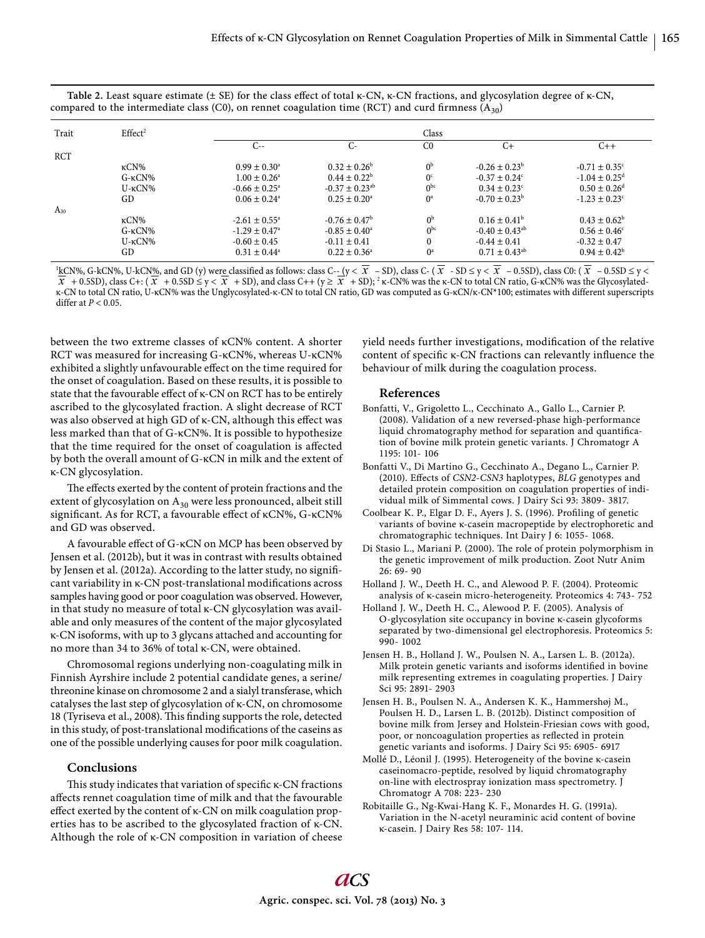| Trait      | Effect <sup>2</sup> |                               |                                |                  |                                |                               |
|------------|---------------------|-------------------------------|--------------------------------|------------------|--------------------------------|-------------------------------|
|            |                     | C--                           | $C-$                           | C <sub>0</sub>   | $C+$                           | $C++$                         |
| <b>RCT</b> |                     |                               |                                |                  |                                |                               |
|            | $\kappa$ CN%        | $0.99 \pm 0.30^{\circ}$       | $0.32 \pm 0.26^b$              | 0 <sup>b</sup>   | $-0.26 \pm 0.23^b$             | $-0.71 \pm 0.35$ <sup>c</sup> |
|            | $G-KCN\%$           | $1.00 \pm 0.26^{\circ}$       | $0.44 \pm 0.22^b$              | 0 <sup>c</sup>   | $-0.37 \pm 0.24^{\circ}$       | $-1.04 \pm 0.25^{\text{d}}$   |
|            | $U$ - $\kappa$ CN%  | $-0.66 \pm 0.25^{\circ}$      | $-0.37 \pm 0.23$ <sup>ab</sup> | 0 <sub>pc</sub>  | $0.34 \pm 0.23^{\circ}$        | $0.50 \pm 0.26$ <sup>d</sup>  |
|            | GD                  | $0.06 \pm 0.24$ <sup>a</sup>  | $0.25 \pm 0.20^{\circ}$        | $0^a$            | $-0.70 \pm 0.23^b$             | $-1.23 \pm 0.23^{\circ}$      |
| $A_{30}$   |                     |                               |                                |                  |                                |                               |
|            | $\kappa$ CN%        | $-2.61 \pm 0.55^{\circ}$      | $-0.76 \pm 0.47^{\rm b}$       | 0 <sub>p</sub>   | $0.16 \pm 0.41^b$              | $0.43 \pm 0.62^b$             |
|            | $G-KCN\%$           | $-1.29 \pm 0.47$ <sup>a</sup> | $-0.85 \pm 0.40^{\circ}$       | 0 <sub>pc</sub>  | $-0.40 \pm 0.43$ <sup>ab</sup> | $0.56 \pm 0.46^{\circ}$       |
|            | $U$ - $\kappa$ CN%  | $-0.60 \pm 0.45$              | $-0.11 \pm 0.41$               |                  | $-0.44 \pm 0.41$               | $-0.32 \pm 0.47$              |
|            | GD                  | $0.31 \pm 0.44^{\circ}$       | $0.22 \pm 0.36^{\circ}$        | $0^{\mathrm{a}}$ | $0.71 \pm 0.43^{\text{ab}}$    | $0.94 \pm 0.42^b$             |

Table 2. Least square estimate (± SE) for the class effect of total κ-CN, κ-CN fractions, and glycosylation degree of κ-CN, compared to the intermediate class (C0), on rennet coagulation time (RCT) and curd firmness ( $A_{30}$ )

<sup>1</sup>kCN%, G-kCN%, U-kCN%, and GD (y) were classified as follows: class C-- (y <  $\overline{X}$  – SD), class C- ( $\overline{X}$  - SD  $\le$  y <  $\overline{X}$  – 0.5SD), class C0: ( $\overline{X}$  – 0.5SD  $\le$  y <  $\frac{\partial X}{\partial x}$  + 0.5SD), class C+: ( $\overline{x}$  + 0.5SD  $\leq y < \overline{x}$  + SD), and class C++ ( $y \geq \overline{x}$  + SD); 2 k-CN% was the k-CN to total CN ratio, G-KCN% was the Glycosylated-<br> $\overline{x}$  + 0.5SD), class C+: ( $\overline{x}$  + 0.5SD  $\le$ κ-CN to total CN ratio, U-κCN% was the Unglycosylated-κ-CN to total CN ratio, GD was computed as G-κCN/κ-CN\*100; estimates with different superscripts differ at  $P < 0.05$ .

between the two extreme classes of κCN% content. A shorter RCT was measured for increasing G-κCN%, whereas U-κCN% exhibited a slightly unfavourable effect on the time required for the onset of coagulation. Based on these results, it is possible to state that the favourable effect of  $\kappa$ -CN on RCT has to be entirely ascribed to the glycosylated fraction. A slight decrease of RCT was also observed at high GD of κ-CN, although this effect was less marked than that of G-κCN%. It is possible to hypothesize that the time required for the onset of coagulation is affected by both the overall amount of G-κCN in milk and the extent of κ-CN glycosylation.

The effects exerted by the content of protein fractions and the extent of glycosylation on  $A_{30}$  were less pronounced, albeit still significant. As for RCT, a favourable effect of κCN%, G-κCN% and GD was observed.

A favourable effect of G-κCN on MCP has been observed by Jensen et al. (2012b), but it was in contrast with results obtained by Jensen et al. (2012a). According to the latter study, no significant variability in κ-CN post-translational modifications across samples having good or poor coagulation was observed. However, in that study no measure of total κ-CN glycosylation was available and only measures of the content of the major glycosylated κ-CN isoforms, with up to 3 glycans attached and accounting for no more than 34 to 36% of total κ-CN, were obtained.

Chromosomal regions underlying non-coagulating milk in Finnish Ayrshire include 2 potential candidate genes, a serine/ threonine kinase on chromosome 2 and a sialyl transferase, which catalyses the last step of glycosylation of κ-CN, on chromosome 18 (Tyriseva et al., 2008). This finding supports the role, detected in this study, of post-translational modifications of the caseins as one of the possible underlying causes for poor milk coagulation.

## **Conclusions**

This study indicates that variation of specific κ-CN fractions affects rennet coagulation time of milk and that the favourable effect exerted by the content of κ-CN on milk coagulation properties has to be ascribed to the glycosylated fraction of κ-CN. Although the role of κ-CN composition in variation of cheese yield needs further investigations, modification of the relative content of specific  $\kappa$ -CN fractions can relevantly influence the behaviour of milk during the coagulation process.

#### **References**

- Bonfatti, V., Grigoletto L., Cecchinato A., Gallo L., Carnier P. (2008). Validation of a new reversed-phase high-performance liquid chromatography method for separation and quantification of bovine milk protein genetic variants. J Chromatogr A 1195: 101- 106
- Bonfatti V., Di Martino G., Cecchinato A., Degano L., Carnier P. (2010). Effects of *CSN2-CSN3* haplotypes, *BLG* genotypes and detailed protein composition on coagulation properties of individual milk of Simmental cows. J Dairy Sci 93: 3809- 3817.
- Coolbear K. P., Elgar D. F., Ayers J. S. (1996). Profiling of genetic variants of bovine κ-casein macropeptide by electrophoretic and chromatographic techniques. Int Dairy J 6: 1055- 1068.
- Di Stasio L., Mariani P. (2000). The role of protein polymorphism in the genetic improvement of milk production. Zoot Nutr Anim 26: 69- 90
- Holland J. W., Deeth H. C., and Alewood P. F. (2004). Proteomic analysis of κ-casein micro-heterogeneity. Proteomics 4: 743- 752
- Holland J. W., Deeth H. C., Alewood P. F. (2005). Analysis of O-glycosylation site occupancy in bovine κ-casein glycoforms separated by two-dimensional gel electrophoresis. Proteomics 5: 990- 1002
- Jensen H. B., Holland J. W., Poulsen N. A., Larsen L. B. (2012a). Milk protein genetic variants and isoforms identified in bovine milk representing extremes in coagulating properties. J Dairy Sci 95: 2891- 2903
- Jensen H. B., Poulsen N. A., Andersen K. K., Hammershøj M., Poulsen H. D., Larsen L. B. (2012b). Distinct composition of bovine milk from Jersey and Holstein-Friesian cows with good, poor, or noncoagulation properties as reflected in protein genetic variants and isoforms. J Dairy Sci 95: 6905- 6917
- Mollé D., Léonil J. (1995). Heterogeneity of the bovine κ-casein caseinomacro-peptide, resolved by liquid chromatography on-line with electrospray ionization mass spectrometry. J Chromatogr A 708: 223- 230
- Robitaille G., Ng-Kwai-Hang K. F., Monardes H. G. (1991a). Variation in the N-acetyl neuraminic acid content of bovine κ-casein. J Dairy Res 58: 107- 114.